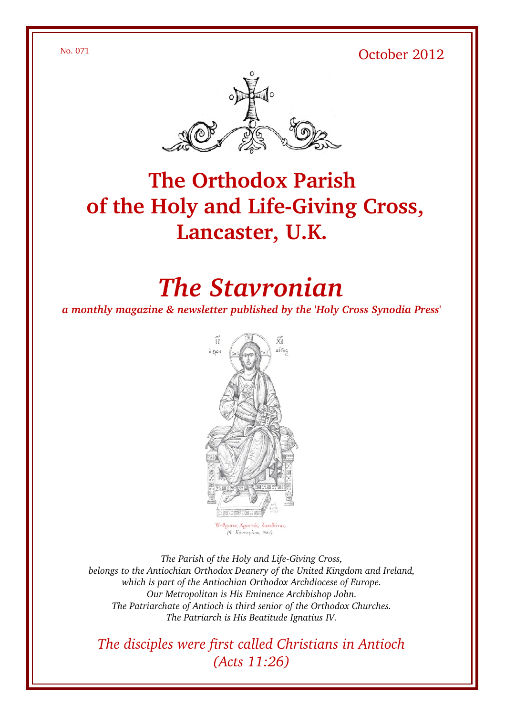No. 071 October 2012



## **The Orthodox Parish** of the Holy and Life-Giving Cross, **Lancaster, U.K.**

# *The Stavronian*

*a monthly magazine & newsletter published by the 'Holy Cross Synodia Press'*



The Parish of the Holy and Life-Giving Cross, *belongs to the Antiochian Orthodox Deanery of the United Kingdom and Ireland, which is part of the Antiochian Orthodox Archdiocese of Europe. Our Metropolitan is His Eminence Archbishop John. The Patriarchate of Antioch is third senior of the Orthodox Churches. The Patriarch is His Beatitude Ignatius IV.*

*The disciples were first called Christians in Antioch (Acts 11:26)*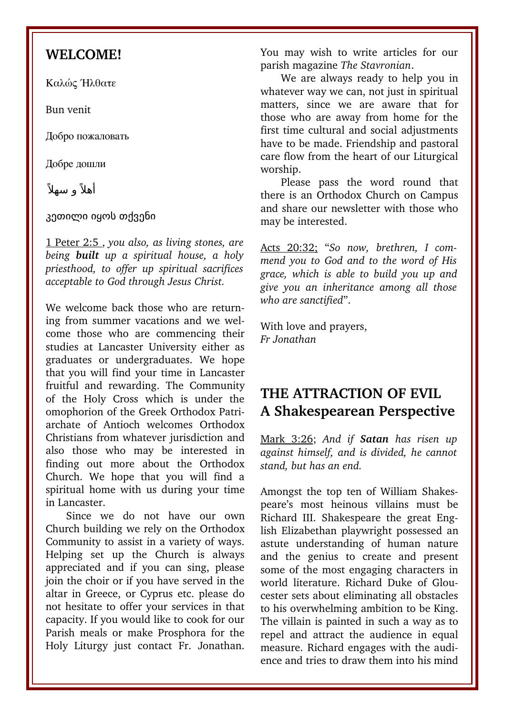#### **WELCOME!**

Καλώς Ήλθατε

Bun venit

Добро пожаловать

Добре дошли

أهلاً و سهلاً

კეთილი იყოს თქვენი

1 Peter 2:5 , *you also, as living stones, are being built up a spiritual house, a holy priesthood, to offer up spiritual sacrifices acceptable to God through Jesus Christ.* 

We welcome back those who are returning from summer vacations and we welcome those who are commencing their studies at Lancaster University either as graduates or undergraduates. We hope that you will find your time in Lancaster fruitful and rewarding. The Community of the Holy Cross which is under the omophorion of the Greek Orthodox Patriarchate of Antioch welcomes Orthodox Christians from whatever jurisdiction and also those who may be interested in finding out more about the Orthodox Church. We hope that you will find a spiritual home with us during your time in Lancaster.

Since we do not have our own Church building we rely on the Orthodox Community to assist in a variety of ways. Helping set up the Church is always appreciated and if you can sing, please join the choir or if you have served in the altar in Greece, or Cyprus etc. please do not hesitate to offer your services in that capacity. If you would like to cook for our Parish meals or make Prosphora for the Holy Liturgy just contact Fr. Jonathan. You may wish to write articles for our parish magazine *The Stavronian*.

We are always ready to help you in whatever way we can, not just in spiritual matters, since we are aware that for those who are away from home for the first time cultural and social adjustments have to be made. Friendship and pastoral care flow from the heart of our Liturgical worship.

Please pass the word round that there is an Orthodox Church on Campus and share our newsletter with those who may be interested.

Acts 20:32; "*So now, brethren, I commend you to God and to the word of His grace, which is able to build you up and give you an inheritance among all those who are sanctified*".

With love and prayers, *Fr Jonathan*

#### **THE ATTRACTION OF EVIL A Shakespearean Perspective**

Mark 3:26; *And if Satan has risen up against himself, and is divided, he cannot stand, but has an end.* 

Amongst the top ten of William Shakespeare's most heinous villains must be Richard III. Shakespeare the great English Elizabethan playwright possessed an astute understanding of human nature and the genius to create and present some of the most engaging characters in world literature. Richard Duke of Gloucester sets about eliminating all obstacles to his overwhelming ambition to be King. The villain is painted in such a way as to repel and attract the audience in equal measure. Richard engages with the audience and tries to draw them into his mind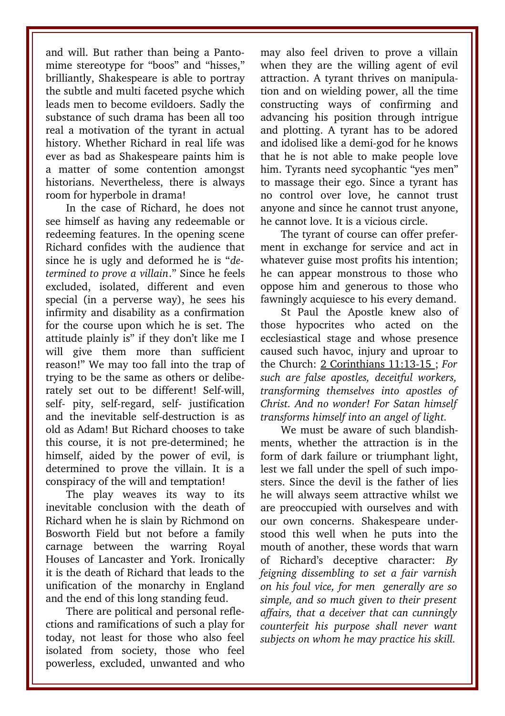and will. But rather than being a Pantomime stereotype for "boos" and "hisses," brilliantly, Shakespeare is able to portray the subtle and multi faceted psyche which leads men to become evildoers. Sadly the substance of such drama has been all too real a motivation of the tyrant in actual history. Whether Richard in real life was ever as bad as Shakespeare paints him is a matter of some contention amongst historians. Nevertheless, there is always room for hyperbole in drama!

In the case of Richard, he does not see himself as having any redeemable or redeeming features. In the opening scene Richard confides with the audience that since he is ugly and deformed he is "*determined to prove a villain*." Since he feels excluded, isolated, different and even special (in a perverse way), he sees his infirmity and disability as a confirmation for the course upon which he is set. The attitude plainly is" if they don't like me I will give them more than sufficient reason!" We may too fall into the trap of trying to be the same as others or deliberately set out to be different! Self-will, self- pity, self-regard, self- justification and the inevitable self-destruction is as old as Adam! But Richard chooses to take this course, it is not pre-determined; he himself, aided by the power of evil, is determined to prove the villain. It is a conspiracy of the will and temptation!

The play weaves its way to its inevitable conclusion with the death of Richard when he is slain by Richmond on Bosworth Field but not before a family carnage between the warring Royal Houses of Lancaster and York. Ironically it is the death of Richard that leads to the unification of the monarchy in England and the end of this long standing feud.

There are political and personal reflections and ramifications of such a play for today, not least for those who also feel isolated from society, those who feel powerless, excluded, unwanted and who may also feel driven to prove a villain when they are the willing agent of evil attraction. A tyrant thrives on manipulation and on wielding power, all the time constructing ways of confirming and advancing his position through intrigue and plotting. A tyrant has to be adored and idolised like a demi-god for he knows that he is not able to make people love him. Tyrants need sycophantic "yes men" to massage their ego. Since a tyrant has no control over love, he cannot trust anyone and since he cannot trust anyone, he cannot love. It is a vicious circle.

The tyrant of course can offer preferment in exchange for service and act in whatever guise most profits his intention; he can appear monstrous to those who oppose him and generous to those who fawningly acquiesce to his every demand.

St Paul the Apostle knew also of those hypocrites who acted on the ecclesiastical stage and whose presence caused such havoc, injury and uproar to the Church: 2 Corinthians 11:13-15 : *For such are false apostles, deceitful workers, transforming themselves into apostles of Christ. And no wonder! For Satan himself transforms himself into an angel of light.*

We must be aware of such blandishments, whether the attraction is in the form of dark failure or triumphant light, lest we fall under the spell of such imposters. Since the devil is the father of lies he will always seem attractive whilst we are preoccupied with ourselves and with our own concerns. Shakespeare understood this well when he puts into the mouth of another, these words that warn of Richard's deceptive character: *By feigning dissembling to set a fair varnish on his foul vice, for men generally are so simple, and so much given to their present affairs, that a deceiver that can cunningly counterfeit his purpose shall never want subjects on whom he may practice his skill.*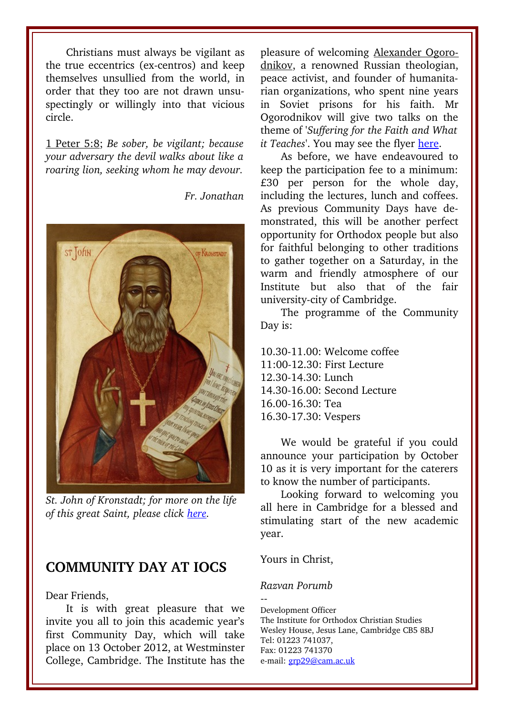Christians must always be vigilant as the true eccentrics (ex-centros) and keep themselves unsullied from the world, in order that they too are not drawn unsuspectingly or willingly into that vicious circle.

1 Peter 5:8; *Be sober, be vigilant; because your adversary the devil walks about like a roaring lion, seeking whom he may devour.*

ST John Kronstadt

*St. John of Kronstadt; for more on the life*

*of this great Saint, please click [here.](http://www.bath-orthodox.org.uk/html/st__john_of_kronstadt.html)*

#### **COMMUNITY DAY AT IOCS**

Dear Friends,

It is with great pleasure that we invite you all to join this academic year's first Community Day, which will take place on 13 October 2012, at Westminster College, Cambridge. The Institute has the pleasure of welcoming Alexander Ogorodnikov, a renowned Russian theologian, peace activist, and founder of humanitarian organizations, who spent nine years in Soviet prisons for his faith. Mr Ogorodnikov will give two talks on the theme of '*Suffering for the Faith and What it Teaches*'. You may see the flyer [here.](http://www.iocs.cam.ac.uk/resources/texts/Alexander_Ogorodnikov_Community_Day.pdf)

As before, we have endeavoured to keep the participation fee to a minimum:  $£30$  per person for the whole day, including the lectures, lunch and coffees. As previous Community Days have demonstrated, this will be another perfect opportunity for Orthodox people but also for faithful belonging to other traditions to gather together on a Saturday, in the warm and friendly atmosphere of our Institute but also that of the fair university-city of Cambridge.

The programme of the Community Day is:

10.3011.00: Welcome coffee 11:00-12.30: First Lecture 12.30-14.30: Lunch 14.30-16.00: Second Lecture 16.0016.30: Tea 16.30-17.30: Vespers

We would be grateful if you could announce your participation by October 10 as it is very important for the caterers to know the number of participants.

Looking forward to welcoming you all here in Cambridge for a blessed and stimulating start of the new academic year.

Yours in Christ,

#### *Razvan Porumb*

--Development Officer The Institute for Orthodox Christian Studies Wesley House, Jesus Lane, Cambridge CB5 8BJ Tel: 01223 741037, Fax: 01223 741370 e-mail: [grp29@cam.ac.uk](mailto:grp29@cam.ac.uk)

*Fr. Jonathan*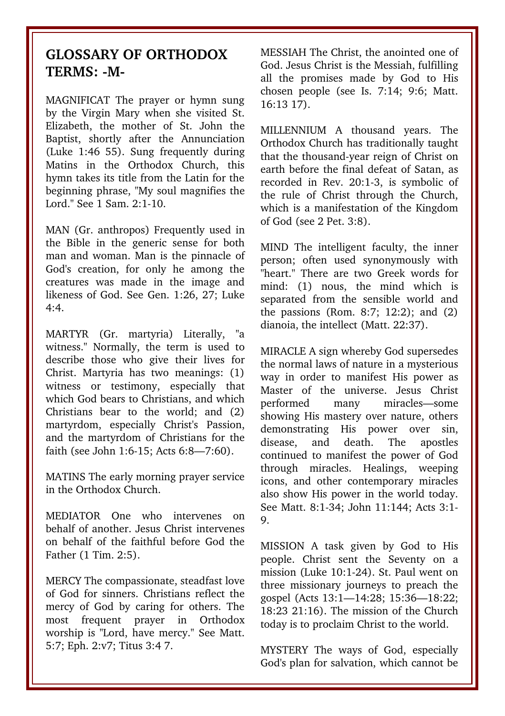#### **GLOSSARY OF ORTHODOX** TERMS: -M-

MAGNIFICAT The prayer or hymn sung by the Virgin Mary when she visited St. Elizabeth, the mother of St. John the Baptist, shortly after the Annunciation (Luke 1:46 55). Sung frequently during Matins in the Orthodox Church, this hymn takes its title from the Latin for the beginning phrase, "My soul magnifies the Lord." See 1 Sam. 2:1-10.

MAN (Gr. anthropos) Frequently used in the Bible in the generic sense for both man and woman. Man is the pinnacle of God's creation, for only he among the creatures was made in the image and likeness of God. See Gen. 1:26, 27; Luke  $4·4$ 

MARTYR (Gr. martyria) Literally, "a witness." Normally, the term is used to describe those who give their lives for Christ. Martyria has two meanings: (1) witness or testimony, especially that which God bears to Christians, and which Christians bear to the world: and (2) martyrdom, especially Christ's Passion, and the martyrdom of Christians for the faith (see John 1:6-15: Acts 6:8-7:60).

MATINS The early morning prayer service in the Orthodox Church.

MEDIATOR One who intervenes on behalf of another. Jesus Christ intervenes on behalf of the faithful before God the Father (1 Tim. 2:5).

MERCY The compassionate, steadfast love of God for sinners. Christians reflect the mercy of God by caring for others. The most frequent prayer in Orthodox worship is "Lord, have mercy." See Matt. 5:7; Eph. 2:v7; Titus 3:4 7.

MESSIAH The Christ, the anointed one of God. Jesus Christ is the Messiah, fulfilling all the promises made by God to His chosen people (see Is. 7:14; 9:6; Matt. 16:13 17).

MILLENNIUM A thousand vears. The Orthodox Church has traditionally taught that the thousand-year reign of Christ on earth before the final defeat of Satan, as recorded in Rev. 20:1-3, is symbolic of the rule of Christ through the Church, which is a manifestation of the Kingdom of God (see 2 Pet. 3:8).

MIND The intelligent faculty, the inner person: often used synonymously with "heart." There are two Greek words for mind: (1) nous, the mind which is separated from the sensible world and the passions (Rom. 8:7; 12:2); and (2) dianoia, the intellect (Matt. 22:37).

MIRACLE A sign whereby God supersedes the normal laws of nature in a mysterious way in order to manifest His power as Master of the universe. Jesus Christ performed many miracles—some showing His mastery over nature, others demonstrating His power over sin, disease, and death. The apostles continued to manifest the power of God through miracles. Healings, weeping icons, and other contemporary miracles also show His power in the world today. See Matt. 8:1-34; John 11:144; Acts 3:1-9.

MISSION A task given by God to His people. Christ sent the Seventy on a mission (Luke 10:124). St. Paul went on three missionary journeys to preach the gospel (Acts 13:1—14:28; 15:36—18:22; 18:23 21:16). The mission of the Church today is to proclaim Christ to the world.

MYSTERY The ways of God, especially God's plan for salvation, which cannot be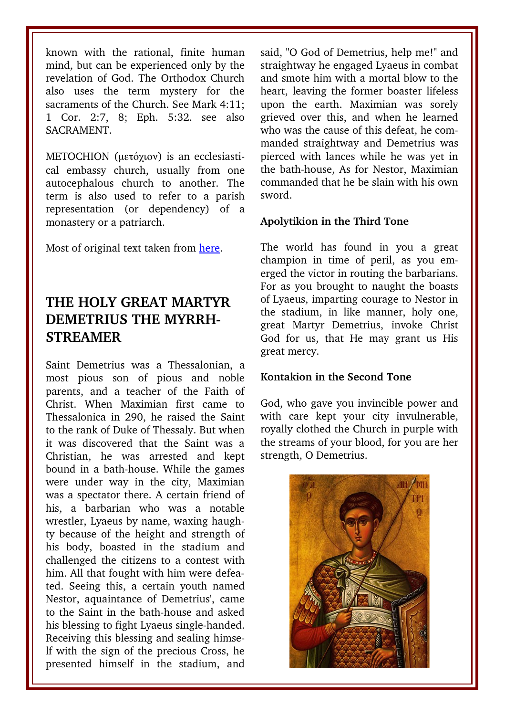known with the rational, finite human mind, but can be experienced only by the revelation of God. The Orthodox Church also uses the term mystery for the sacraments of the Church. See Mark 4:11; 1 Cor. 2:7, 8; Eph. 5:32. see also SACRAMENT.

METOCHION (μετόχιον) is an ecclesiastical embassy church, usually from one autocephalous church to another. The term is also used to refer to a parish representation (or dependency) of a monastery or a patriarch.

Most of original text taken from [here.](http://www.antiochian.org/theology/glossary_of_orthodox_terminology.htm)

## **THE HOLY GREAT MARTYR DEMETRIUS THE MYRRH-STREAMER**

Saint Demetrius was a Thessalonian, a most pious son of pious and noble parents, and a teacher of the Faith of Christ. When Maximian first came to Thessalonica in 290, he raised the Saint to the rank of Duke of Thessaly. But when it was discovered that the Saint was a Christian, he was arrested and kept bound in a bath-house. While the games were under way in the city, Maximian was a spectator there. A certain friend of his, a barbarian who was a notable wrestler, Lyaeus by name, waxing haughty because of the height and strength of his body, boasted in the stadium and challenged the citizens to a contest with him. All that fought with him were defeated. Seeing this, a certain youth named Nestor, aquaintance of Demetrius', came to the Saint in the bath-house and asked his blessing to fight Lyaeus single-handed. Receiving this blessing and sealing himself with the sign of the precious Cross, he presented himself in the stadium, and

said, "O God of Demetrius, help me!" and straightway he engaged Lyaeus in combat and smote him with a mortal blow to the heart, leaving the former boaster lifeless upon the earth. Maximian was sorely grieved over this, and when he learned who was the cause of this defeat, he commanded straightway and Demetrius was pierced with lances while he was yet in the bath-house, As for Nestor, Maximian commanded that he be slain with his own sword.

#### **Apolytikion in the Third Tone**

The world has found in you a great champion in time of peril, as you emerged the victor in routing the barbarians. For as you brought to naught the boasts of Lyaeus, imparting courage to Nestor in the stadium, in like manner, holy one, great Martyr Demetrius, invoke Christ God for us, that He may grant us His great mercy.

#### **Kontakion in the Second Tone**

God, who gave you invincible power and with care kept your city invulnerable, royally clothed the Church in purple with the streams of your blood, for you are her strength, O Demetrius.